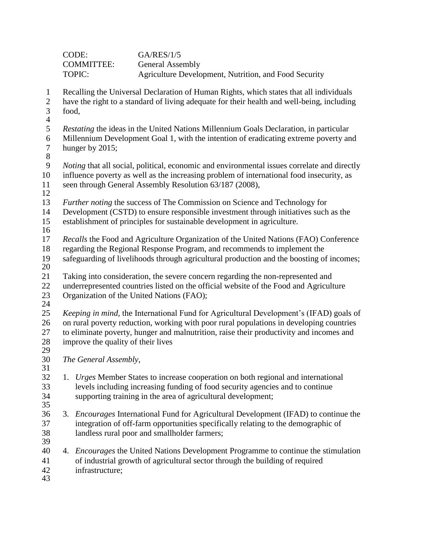| CODE:             | GA/RES/1/5                                            |
|-------------------|-------------------------------------------------------|
| <b>COMMITTEE:</b> | <b>General Assembly</b>                               |
| TOPIC:            | Agriculture Development, Nutrition, and Food Security |

- Recalling the Universal Declaration of Human Rights, which states that all individuals
- have the right to a standard of living adequate for their health and well-being, including food,
- 
- *Restating* the ideas in the United Nations Millennium Goals Declaration, in particular 6 Millennium Development Goal 1, with the intention of eradicating extreme poverty and<br>7 hunger by 2015: hunger by ;
- 

8<br>9 *Noting* that all social, political, economic and environmental issues correlate and directly influence poverty as well as the increasing problem of international food insecurity, as seen through General Assembly Resolution 63/187 (2008),

- 
- *Further noting* the success of The Commission on Science and Technology for
- Development (CSTD) to ensure responsible investment through initiatives such as the
- establishment of principles for sustainable development in agriculture.
- 
- *Recalls* the Food and Agriculture Organization of the United Nations (FAO) Conference
- regarding the Regional Response Program, and recommends to implement the
- safeguarding of livelihoods through agricultural production and the boosting of incomes;
- $\frac{20}{21}$
- Taking into consideration, the severe concern regarding the non-represented and underrepresented countries listed on the official website of the Food and Agriculture Organization of the United Nations (FAO);
- 

 *Keeping in mind,* the International Fund for Agricultural Development's (IFAD) goals of on rural poverty reduction, working with poor rural populations in developing countries to eliminate poverty, hunger and malnutrition, raise their productivity and incomes and improve the quality of their lives

 *The General Assembly*, 

- 1. *Urges* Member States to increase cooperation on both regional and international levels including increasing funding of food security agencies and to continue supporting training in the area of agricultural development;
- 3. *Encourages* International Fund for Agricultural Development (IFAD) to continue the integration of off-farm opportunities specifically relating to the demographic of landless rural poor and smallholder farmers;
- 
- 4. *Encourages* the United Nations Development Programme to continue the stimulation of industrial growth of agricultural sector through the building of required infrastructure;
-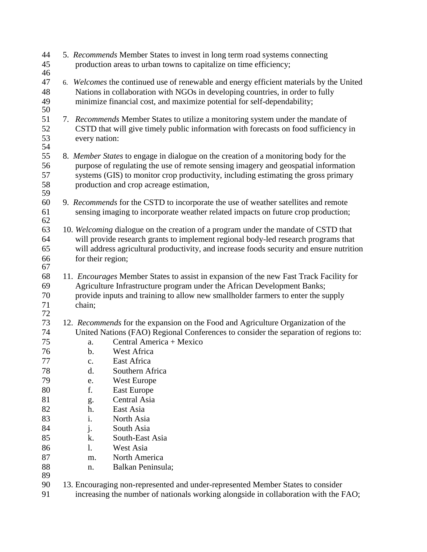| 44<br>45<br>46                                                                                         |                                                                                                                                                                                                                                                                                                            | 5. Recommends Member States to invest in long term road systems connecting<br>production areas to urban towns to capitalize on time efficiency;                                                                                                                                                                                                                                                                          |  |
|--------------------------------------------------------------------------------------------------------|------------------------------------------------------------------------------------------------------------------------------------------------------------------------------------------------------------------------------------------------------------------------------------------------------------|--------------------------------------------------------------------------------------------------------------------------------------------------------------------------------------------------------------------------------------------------------------------------------------------------------------------------------------------------------------------------------------------------------------------------|--|
| 47<br>48<br>49<br>50                                                                                   |                                                                                                                                                                                                                                                                                                            | 6. Welcomes the continued use of renewable and energy efficient materials by the United<br>Nations in collaboration with NGOs in developing countries, in order to fully<br>minimize financial cost, and maximize potential for self-dependability;                                                                                                                                                                      |  |
| 51<br>52<br>53<br>54                                                                                   | every nation:                                                                                                                                                                                                                                                                                              | 7. Recommends Member States to utilize a monitoring system under the mandate of<br>CSTD that will give timely public information with forecasts on food sufficiency in                                                                                                                                                                                                                                                   |  |
| 55<br>56<br>57<br>58<br>59                                                                             | 8. Member States to engage in dialogue on the creation of a monitoring body for the<br>purpose of regulating the use of remote sensing imagery and geospatial information<br>systems (GIS) to monitor crop productivity, including estimating the gross primary<br>production and crop acreage estimation, |                                                                                                                                                                                                                                                                                                                                                                                                                          |  |
| 60<br>61<br>62                                                                                         |                                                                                                                                                                                                                                                                                                            | 9. Recommends for the CSTD to incorporate the use of weather satellites and remote<br>sensing imaging to incorporate weather related impacts on future crop production;                                                                                                                                                                                                                                                  |  |
| 63<br>64<br>65<br>66<br>67                                                                             | for their region;                                                                                                                                                                                                                                                                                          | 10. Welcoming dialogue on the creation of a program under the mandate of CSTD that<br>will provide research grants to implement regional body-led research programs that<br>will address agricultural productivity, and increase foods security and ensure nutrition                                                                                                                                                     |  |
| 68<br>69<br>70<br>71<br>72                                                                             | chain;                                                                                                                                                                                                                                                                                                     | 11. Encourages Member States to assist in expansion of the new Fast Track Facility for<br>Agriculture Infrastructure program under the African Development Banks;<br>provide inputs and training to allow new smallholder farmers to enter the supply                                                                                                                                                                    |  |
| 73<br>74<br>75<br>76<br>$77\,$<br>78<br>79<br>80<br>81<br>82<br>83<br>84<br>85<br>86<br>87<br>88<br>89 | a.<br>$\mathbf b$ .<br>$\mathbf{C}$ .<br>d.<br>e.<br>f.<br>g.<br>h.<br>i.<br>j.<br>k.<br>1.<br>m.<br>n.                                                                                                                                                                                                    | 12. Recommends for the expansion on the Food and Agriculture Organization of the<br>United Nations (FAO) Regional Conferences to consider the separation of regions to:<br>Central America + Mexico<br>West Africa<br>East Africa<br>Southern Africa<br>West Europe<br><b>East Europe</b><br>Central Asia<br>East Asia<br>North Asia<br>South Asia<br>South-East Asia<br>West Asia<br>North America<br>Balkan Peninsula; |  |
| 90<br>91                                                                                               |                                                                                                                                                                                                                                                                                                            | 13. Encouraging non-represented and under-represented Member States to consider<br>increasing the number of nationals working alongside in collaboration with the FAO;                                                                                                                                                                                                                                                   |  |